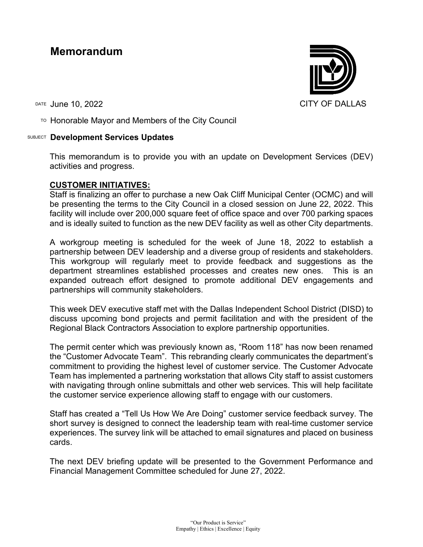# **Memorandum**

TO Honorable Mayor and Members of the City Council

## SUBJECT **Development Services Updates**

This memorandum is to provide you with an update on Development Services (DEV) activities and progress.

# **CUSTOMER INITIATIVES:**

Staff is finalizing an offer to purchase a new Oak Cliff Municipal Center (OCMC) and will be presenting the terms to the City Council in a closed session on June 22, 2022. This facility will include over 200,000 square feet of office space and over 700 parking spaces and is ideally suited to function as the new DEV facility as well as other City departments.

A workgroup meeting is scheduled for the week of June 18, 2022 to establish a partnership between DEV leadership and a diverse group of residents and stakeholders. This workgroup will regularly meet to provide feedback and suggestions as the department streamlines established processes and creates new ones. This is an expanded outreach effort designed to promote additional DEV engagements and partnerships will community stakeholders.

This week DEV executive staff met with the Dallas Independent School District (DISD) to discuss upcoming bond projects and permit facilitation and with the president of the Regional Black Contractors Association to explore partnership opportunities.

The permit center which was previously known as, "Room 118" has now been renamed the "Customer Advocate Team". This rebranding clearly communicates the department's commitment to providing the highest level of customer service. The Customer Advocate Team has implemented a partnering workstation that allows City staff to assist customers with navigating through online submittals and other web services. This will help facilitate the customer service experience allowing staff to engage with our customers.

Staff has created a "Tell Us How We Are Doing" customer service feedback survey. The short survey is designed to connect the leadership team with real-time customer service experiences. The survey link will be attached to email signatures and placed on business cards.

The next DEV briefing update will be presented to the Government Performance and Financial Management Committee scheduled for June 27, 2022.